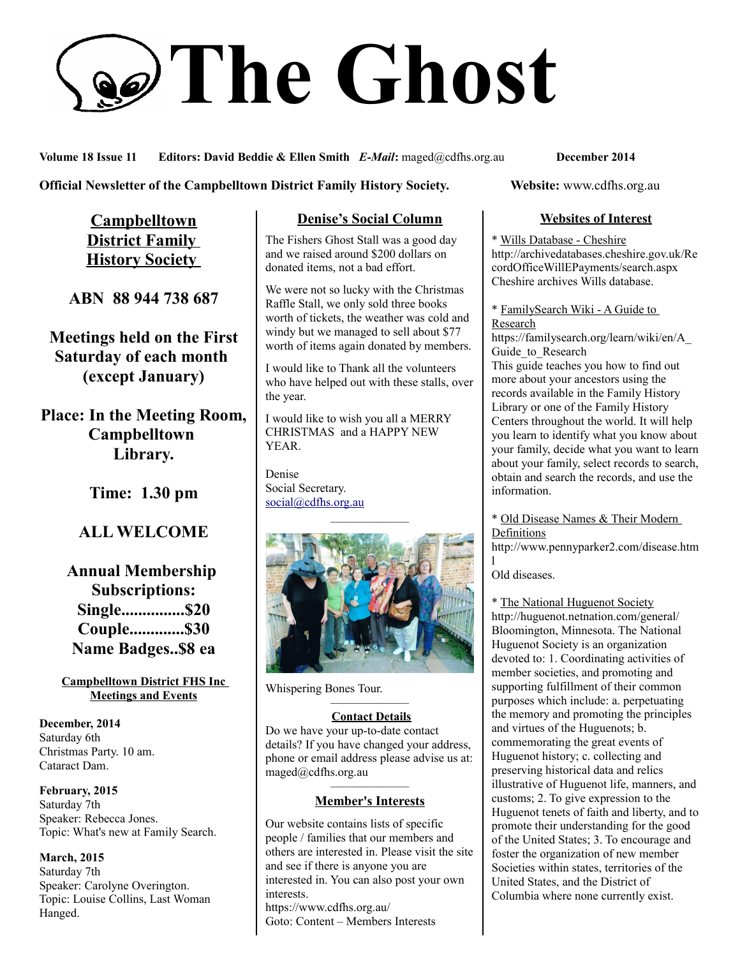# **The Ghost**

**Volume 18 Issue 11 Editors: David Beddie & Ellen Smith** *E-Mail***:** maged@cdfhs.org.au **December 2014**

**Official Newsletter of the Campbelltown District Family History Society. Website: www.cdfhs.org.au** 

**Campbelltown District Family History Society** 

**ABN 88 944 738 687**

**Meetings held on the First Saturday of each month (except January)**

**Place: In the Meeting Room, Campbelltown Library.**

**Time: 1.30 pm**

# **ALL WELCOME**

**Annual Membership Subscriptions: Single...............\$20 Couple.............\$30 Name Badges..\$8 ea**

**Campbelltown District FHS Inc Meetings and Events**

**December, 2014** Saturday 6th Christmas Party. 10 am. Cataract Dam.

**February, 2015** Saturday 7th Speaker: Rebecca Jones. Topic: What's new at Family Search.

**March, 2015** Saturday 7th Speaker: Carolyne Overington. Topic: Louise Collins, Last Woman Hanged.

## **Denise's Social Column**

The Fishers Ghost Stall was a good day and we raised around \$200 dollars on donated items, not a bad effort.

We were not so lucky with the Christmas Raffle Stall, we only sold three books worth of tickets, the weather was cold and windy but we managed to sell about \$77 worth of items again donated by members.

I would like to Thank all the volunteers who have helped out with these stalls, over the year.

I would like to wish you all a MERRY CHRISTMAS and a HAPPY NEW YEAR.

Denise Social Secretary. [social@cdfhs.org.au](mailto:social@cdfhs.org.au)



Whispering Bones Tour.

#### ——————– **Contact Details**

Do we have your up-to-date contact details? If you have changed your address, phone or email address please advise us at: maged@cdfhs.org.au

#### ——————– **Member's Interests**

Our website contains lists of specific people / families that our members and others are interested in. Please visit the site and see if there is anyone you are interested in. You can also post your own interests. https://www.cdfhs.org.au/

Goto: Content – Members Interests

### **Websites of Interest**

\* Wills Database - Cheshire http://archivedatabases.cheshire.gov.uk/Re cordOfficeWillEPayments/search.aspx Cheshire archives Wills database.

\* FamilySearch Wiki - A Guide to Research

https://familysearch.org/learn/wiki/en/A\_ Guide to Research

This guide teaches you how to find out more about your ancestors using the records available in the Family History Library or one of the Family History Centers throughout the world. It will help you learn to identify what you know about your family, decide what you want to learn about your family, select records to search, obtain and search the records, and use the information.

\* Old Disease Names & Their Modern **Definitions** 

http://www.pennyparker2.com/disease.htm l

Old diseases.

\* The National Huguenot Society http://huguenot.netnation.com/general/ Bloomington, Minnesota. The National Huguenot Society is an organization devoted to: 1. Coordinating activities of member societies, and promoting and supporting fulfillment of their common purposes which include: a. perpetuating the memory and promoting the principles and virtues of the Huguenots; b. commemorating the great events of Huguenot history; c. collecting and preserving historical data and relics illustrative of Huguenot life, manners, and customs; 2. To give expression to the Huguenot tenets of faith and liberty, and to promote their understanding for the good of the United States; 3. To encourage and foster the organization of new member Societies within states, territories of the United States, and the District of Columbia where none currently exist.